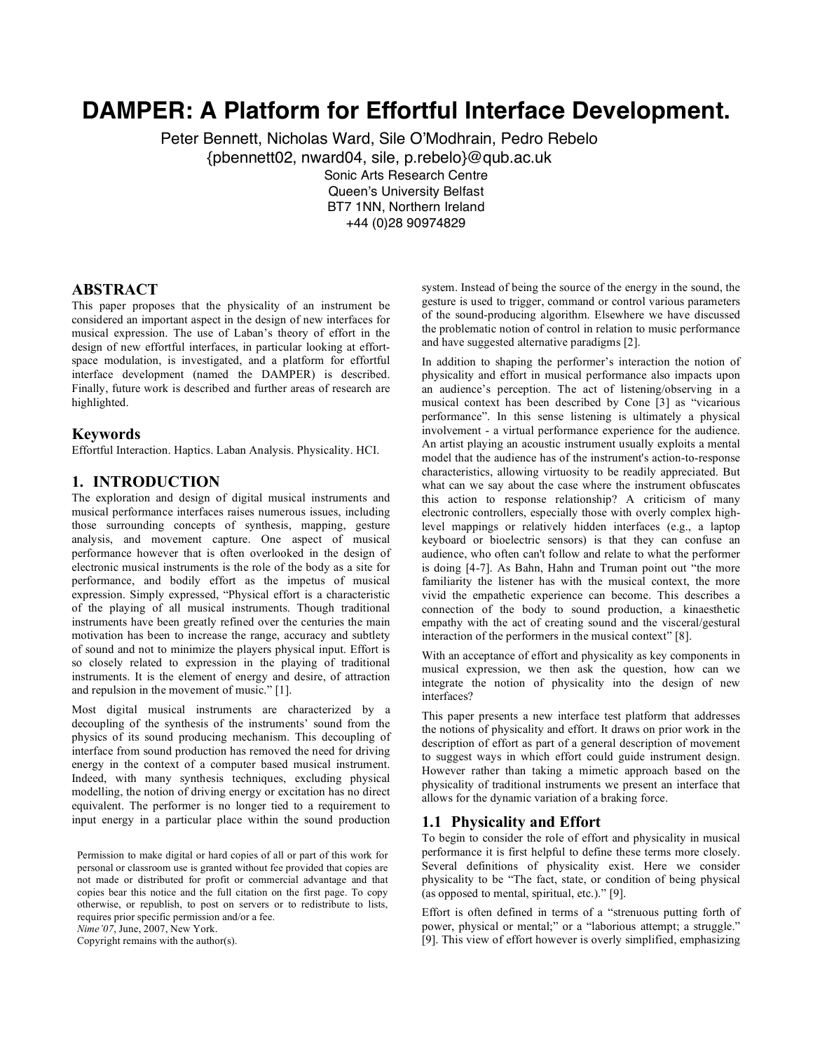# **DAMPER: A Platform for Effortful Interface Development.**

Peter Bennett, Nicholas Ward, Sile O'Modhrain, Pedro Rebelo {pbennett02, nward04, sile, p.rebelo}@qub.ac.uk Sonic Arts Research Centre Queen's University Belfast BT7 1NN, Northern Ireland +44 (0)28 90974829

#### **ABSTRACT**

This paper proposes that the physicality of an instrument be considered an important aspect in the design of new interfaces for musical expression. The use of Laban's theory of effort in the design of new effortful interfaces, in particular looking at effortspace modulation, is investigated, and a platform for effortful interface development (named the DAMPER) is described. Finally, future work is described and further areas of research are highlighted.

#### **Keywords**

Effortful Interaction. Haptics. Laban Analysis. Physicality. HCI.

## **1. INTRODUCTION**

The exploration and design of digital musical instruments and musical performance interfaces raises numerous issues, including those surrounding concepts of synthesis, mapping, gesture analysis, and movement capture. One aspect of musical performance however that is often overlooked in the design of electronic musical instruments is the role of the body as a site for performance, and bodily effort as the impetus of musical expression. Simply expressed, "Physical effort is a characteristic of the playing of all musical instruments. Though traditional instruments have been greatly refined over the centuries the main motivation has been to increase the range, accuracy and subtlety of sound and not to minimize the players physical input. Effort is so closely related to expression in the playing of traditional instruments. It is the element of energy and desire, of attraction and repulsion in the movement of music." [1].

Most digital musical instruments are characterized by a decoupling of the synthesis of the instruments' sound from the physics of its sound producing mechanism. This decoupling of interface from sound production has removed the need for driving energy in the context of a computer based musical instrument. Indeed, with many synthesis techniques, excluding physical modelling, the notion of driving energy or excitation has no direct equivalent. The performer is no longer tied to a requirement to input energy in a particular place within the sound production

*Nime'07*, June, 2007, New York.

Copyright remains with the author(s).

system. Instead of being the source of the energy in the sound, the gesture is used to trigger, command or control various parameters of the sound-producing algorithm. Elsewhere we have discussed the problematic notion of control in relation to music performance and have suggested alternative paradigms [2].

In addition to shaping the performer's interaction the notion of physicality and effort in musical performance also impacts upon an audience's perception. The act of listening/observing in a musical context has been described by Cone [3] as "vicarious performance". In this sense listening is ultimately a physical involvement - a virtual performance experience for the audience. An artist playing an acoustic instrument usually exploits a mental model that the audience has of the instrument's action-to-response characteristics, allowing virtuosity to be readily appreciated. But what can we say about the case where the instrument obfuscates this action to response relationship? A criticism of many electronic controllers, especially those with overly complex highlevel mappings or relatively hidden interfaces (e.g., a laptop keyboard or bioelectric sensors) is that they can confuse an audience, who often can't follow and relate to what the performer is doing [4-7]. As Bahn, Hahn and Truman point out "the more familiarity the listener has with the musical context, the more vivid the empathetic experience can become. This describes a connection of the body to sound production, a kinaesthetic empathy with the act of creating sound and the visceral/gestural interaction of the performers in the musical context" [8].

With an acceptance of effort and physicality as key components in musical expression, we then ask the question, how can we integrate the notion of physicality into the design of new interfaces?

This paper presents a new interface test platform that addresses the notions of physicality and effort. It draws on prior work in the description of effort as part of a general description of movement to suggest ways in which effort could guide instrument design. However rather than taking a mimetic approach based on the physicality of traditional instruments we present an interface that allows for the dynamic variation of a braking force.

#### **1.1 Physicality and Effort**

To begin to consider the role of effort and physicality in musical performance it is first helpful to define these terms more closely. Several definitions of physicality exist. Here we consider physicality to be "The fact, state, or condition of being physical (as opposed to mental, spiritual, etc.)." [9].

Effort is often defined in terms of a "strenuous putting forth of power, physical or mental;" or a "laborious attempt; a struggle." [9]. This view of effort however is overly simplified, emphasizing

Permission to make digital or hard copies of all or part of this work for personal or classroom use is granted without fee provided that copies are not made or distributed for profit or commercial advantage and that copies bear this notice and the full citation on the first page. To copy otherwise, or republish, to post on servers or to redistribute to lists, requires prior specific permission and/or a fee.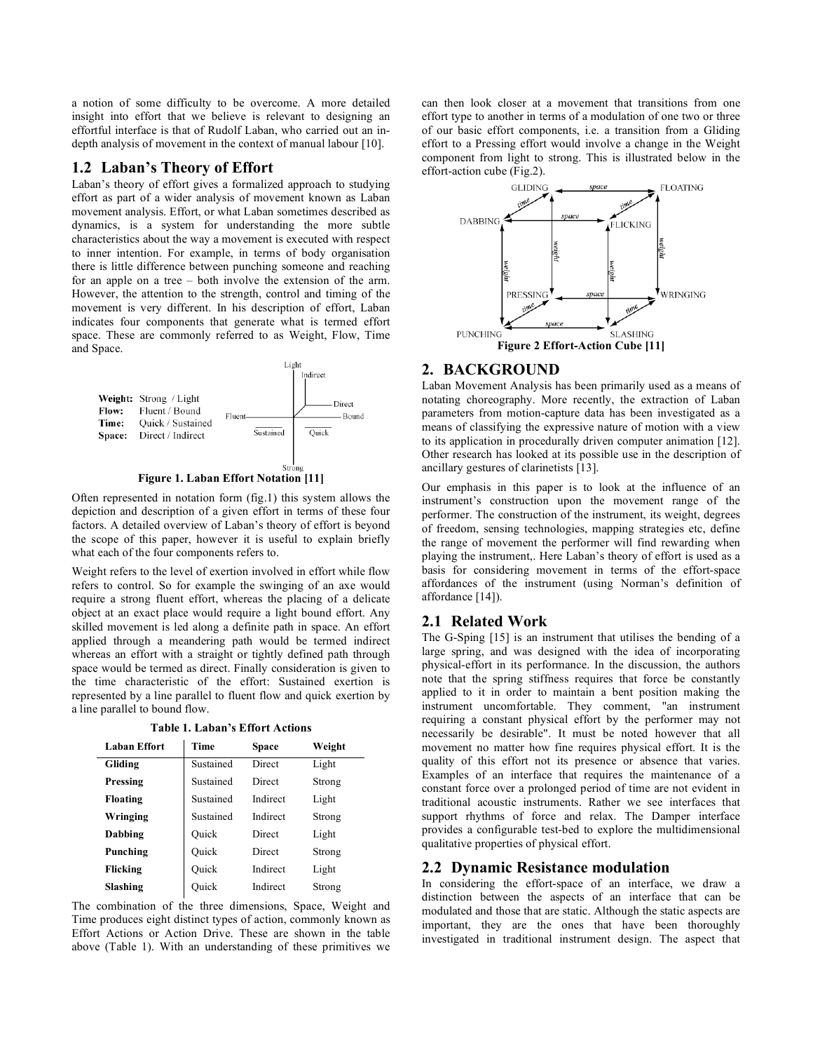a notion of some difficulty to be overcome. A more detailed insight into effort that we believe is relevant to designing an effortful interface is that of Rudolf Laban, who carried out an indepth analysis of movement in the context of manual labour [10].

## **1.2 Laban's Theory of Effort**

Laban's theory of effort gives a formalized approach to studying effort as part of a wider analysis of movement known as Laban movement analysis. Effort, or what Laban sometimes described as dynamics, is a system for understanding the more subtle characteristics about the way a movement is executed with respect to inner intention. For example, in terms of body organisation there is little difference between punching someone and reaching for an apple on a tree – both involve the extension of the arm. However, the attention to the strength, control and timing of the movement is very different. In his description of effort, Laban indicates four components that generate what is termed effort space. These are commonly referred to as Weight, Flow, Time and Space.



**Figure 1. Laban Effort Notation [11]**

Often represented in notation form (fig.1) this system allows the depiction and description of a given effort in terms of these four factors. A detailed overview of Laban's theory of effort is beyond the scope of this paper, however it is useful to explain briefly what each of the four components refers to.

Weight refers to the level of exertion involved in effort while flow refers to control. So for example the swinging of an axe would require a strong fluent effort, whereas the placing of a delicate object at an exact place would require a light bound effort. Any skilled movement is led along a definite path in space. An effort applied through a meandering path would be termed indirect whereas an effort with a straight or tightly defined path through space would be termed as direct. Finally consideration is given to the time characteristic of the effort: Sustained exertion is represented by a line parallel to fluent flow and quick exertion by a line parallel to bound flow.

**Table 1. Laban's Effort Actions**

| Laban Effort    | Time      | <b>Space</b>  | Weight |
|-----------------|-----------|---------------|--------|
| Gliding         | Sustained | <b>Direct</b> | Light  |
| Pressing        | Sustained | Direct        | Strong |
| <b>Floating</b> | Sustained | Indirect      | Light  |
| Wringing        | Sustained | Indirect      | Strong |
| Dabbing         | Ouick     | Direct        | Light  |
| Punching        | Ouick     | Direct        | Strong |
| Flicking        | Ouick     | Indirect      | Light  |
| Slashing        | Ouick     | Indirect      | Strong |

The combination of the three dimensions, Space, Weight and Time produces eight distinct types of action, commonly known as Effort Actions or Action Drive. These are shown in the table above (Table 1). With an understanding of these primitives we

can then look closer at a movement that transitions from one effort type to another in terms of a modulation of one two or three of our basic effort components, i.e. a transition from a Gliding effort to a Pressing effort would involve a change in the Weight component from light to strong. This is illustrated below in the effort-action cube (Fig.2).



## **2. BACKGROUND**

Laban Movement Analysis has been primarily used as a means of notating choreography. More recently, the extraction of Laban parameters from motion-capture data has been investigated as a means of classifying the expressive nature of motion with a view to its application in procedurally driven computer animation [12]. Other research has looked at its possible use in the description of ancillary gestures of clarinetists [13].

Our emphasis in this paper is to look at the influence of an instrument's construction upon the movement range of the performer. The construction of the instrument, its weight, degrees of freedom, sensing technologies, mapping strategies etc, define the range of movement the performer will find rewarding when playing the instrument,. Here Laban's theory of effort is used as a basis for considering movement in terms of the effort-space affordances of the instrument (using Norman's definition of affordance [14]).

# **2.1 Related Work**

The G-Sping [15] is an instrument that utilises the bending of a large spring, and was designed with the idea of incorporating physical-effort in its performance. In the discussion, the authors note that the spring stiffness requires that force be constantly applied to it in order to maintain a bent position making the instrument uncomfortable. They comment, "an instrument requiring a constant physical effort by the performer may not necessarily be desirable". It must be noted however that all movement no matter how fine requires physical effort. It is the quality of this effort not its presence or absence that varies. Examples of an interface that requires the maintenance of a constant force over a prolonged period of time are not evident in traditional acoustic instruments. Rather we see interfaces that support rhythms of force and relax. The Damper interface provides a configurable test-bed to explore the multidimensional qualitative properties of physical effort.

## **2.2 Dynamic Resistance modulation**

In considering the effort-space of an interface, we draw a distinction between the aspects of an interface that can be modulated and those that are static. Although the static aspects are important, they are the ones that have been thoroughly investigated in traditional instrument design. The aspect that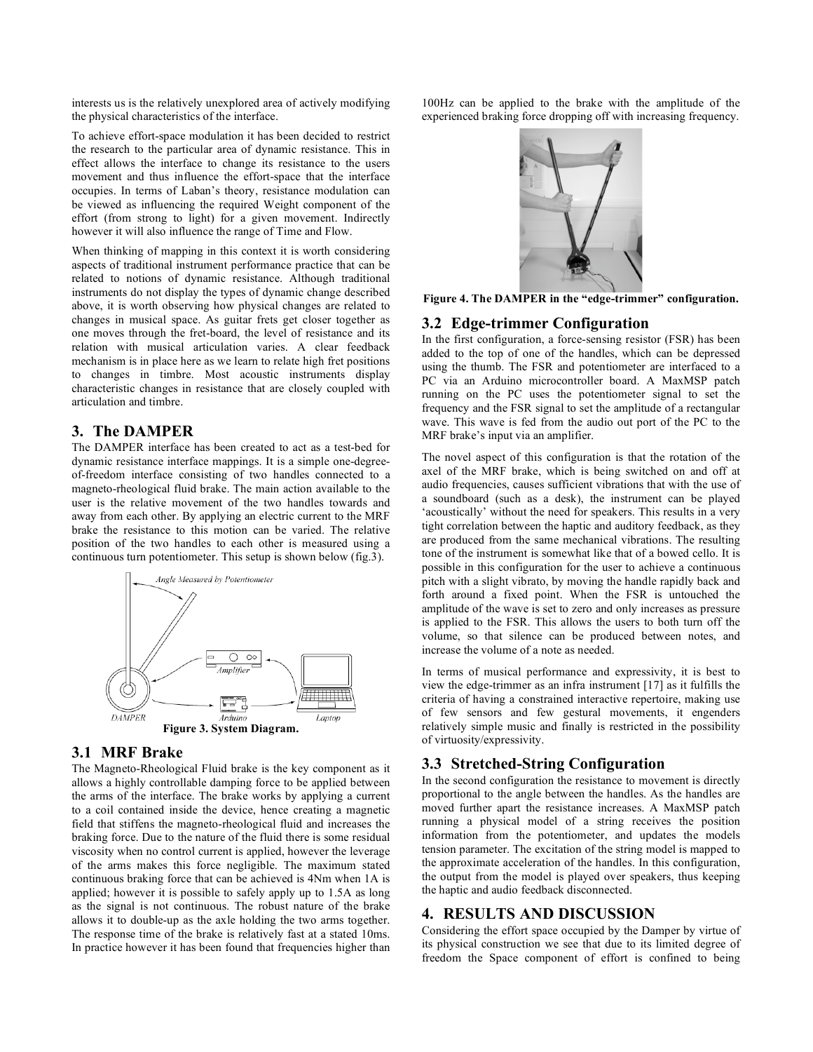interests us is the relatively unexplored area of actively modifying the physical characteristics of the interface.

To achieve effort-space modulation it has been decided to restrict the research to the particular area of dynamic resistance. This in effect allows the interface to change its resistance to the users movement and thus influence the effort-space that the interface occupies. In terms of Laban's theory, resistance modulation can be viewed as influencing the required Weight component of the effort (from strong to light) for a given movement. Indirectly however it will also influence the range of Time and Flow.

When thinking of mapping in this context it is worth considering aspects of traditional instrument performance practice that can be related to notions of dynamic resistance. Although traditional instruments do not display the types of dynamic change described above, it is worth observing how physical changes are related to changes in musical space. As guitar frets get closer together as one moves through the fret-board, the level of resistance and its relation with musical articulation varies. A clear feedback mechanism is in place here as we learn to relate high fret positions to changes in timbre. Most acoustic instruments display characteristic changes in resistance that are closely coupled with articulation and timbre.

# **3. The DAMPER**

The DAMPER interface has been created to act as a test-bed for dynamic resistance interface mappings. It is a simple one-degreeof-freedom interface consisting of two handles connected to a magneto-rheological fluid brake. The main action available to the user is the relative movement of the two handles towards and away from each other. By applying an electric current to the MRF brake the resistance to this motion can be varied. The relative position of the two handles to each other is measured using a continuous turn potentiometer. This setup is shown below (fig.3).



#### **3.1 MRF Brake**

The Magneto-Rheological Fluid brake is the key component as it allows a highly controllable damping force to be applied between the arms of the interface. The brake works by applying a current to a coil contained inside the device, hence creating a magnetic field that stiffens the magneto-rheological fluid and increases the braking force. Due to the nature of the fluid there is some residual viscosity when no control current is applied, however the leverage of the arms makes this force negligible. The maximum stated continuous braking force that can be achieved is 4Nm when 1A is applied; however it is possible to safely apply up to 1.5A as long as the signal is not continuous. The robust nature of the brake allows it to double-up as the axle holding the two arms together. The response time of the brake is relatively fast at a stated 10ms. In practice however it has been found that frequencies higher than

100Hz can be applied to the brake with the amplitude of the experienced braking force dropping off with increasing frequency.



**Figure 4. The DAMPER in the "edge-trimmer" configuration.**

## **3.2 Edge-trimmer Configuration**

In the first configuration, a force-sensing resistor (FSR) has been added to the top of one of the handles, which can be depressed using the thumb. The FSR and potentiometer are interfaced to a PC via an Arduino microcontroller board. A MaxMSP patch running on the PC uses the potentiometer signal to set the frequency and the FSR signal to set the amplitude of a rectangular wave. This wave is fed from the audio out port of the PC to the MRF brake's input via an amplifier.

The novel aspect of this configuration is that the rotation of the axel of the MRF brake, which is being switched on and off at audio frequencies, causes sufficient vibrations that with the use of a soundboard (such as a desk), the instrument can be played 'acoustically' without the need for speakers. This results in a very tight correlation between the haptic and auditory feedback, as they are produced from the same mechanical vibrations. The resulting tone of the instrument is somewhat like that of a bowed cello. It is possible in this configuration for the user to achieve a continuous pitch with a slight vibrato, by moving the handle rapidly back and forth around a fixed point. When the FSR is untouched the amplitude of the wave is set to zero and only increases as pressure is applied to the FSR. This allows the users to both turn off the volume, so that silence can be produced between notes, and increase the volume of a note as needed.

In terms of musical performance and expressivity, it is best to view the edge-trimmer as an infra instrument [17] as it fulfills the criteria of having a constrained interactive repertoire, making use of few sensors and few gestural movements, it engenders relatively simple music and finally is restricted in the possibility of virtuosity/expressivity.

#### **3.3 Stretched-String Configuration**

In the second configuration the resistance to movement is directly proportional to the angle between the handles. As the handles are moved further apart the resistance increases. A MaxMSP patch running a physical model of a string receives the position information from the potentiometer, and updates the models tension parameter. The excitation of the string model is mapped to the approximate acceleration of the handles. In this configuration, the output from the model is played over speakers, thus keeping the haptic and audio feedback disconnected.

## **4. RESULTS AND DISCUSSION**

Considering the effort space occupied by the Damper by virtue of its physical construction we see that due to its limited degree of freedom the Space component of effort is confined to being